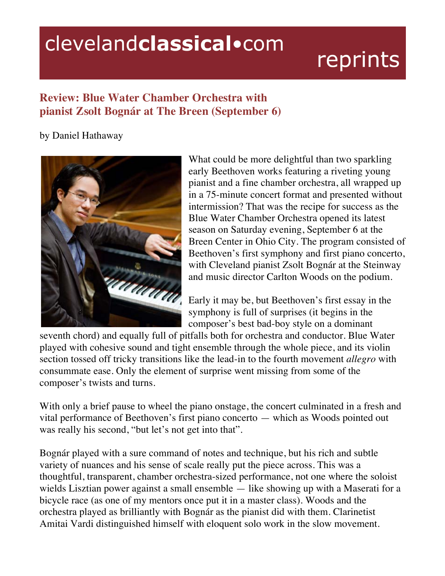## clevelandclassical.com

## reprints

## **Review: Blue Water Chamber Orchestra with pianist Zsolt Bognár at The Breen (September 6)**

## by Daniel Hathaway



What could be more delightful than two sparkling early Beethoven works featuring a riveting young pianist and a fine chamber orchestra, all wrapped up in a 75-minute concert format and presented without intermission? That was the recipe for success as the Blue Water Chamber Orchestra opened its latest season on Saturday evening, September 6 at the Breen Center in Ohio City. The program consisted of Beethoven's first symphony and first piano concerto, with Cleveland pianist Zsolt Bognár at the Steinway and music director Carlton Woods on the podium.

Early it may be, but Beethoven's first essay in the symphony is full of surprises (it begins in the composer's best bad-boy style on a dominant

seventh chord) and equally full of pitfalls both for orchestra and conductor. Blue Water played with cohesive sound and tight ensemble through the whole piece, and its violin section tossed off tricky transitions like the lead-in to the fourth movement *allegro* with consummate ease. Only the element of surprise went missing from some of the composer's twists and turns.

With only a brief pause to wheel the piano onstage, the concert culminated in a fresh and vital performance of Beethoven's first piano concerto — which as Woods pointed out was really his second, "but let's not get into that".

Bognár played with a sure command of notes and technique, but his rich and subtle variety of nuances and his sense of scale really put the piece across. This was a thoughtful, transparent, chamber orchestra-sized performance, not one where the soloist wields Lisztian power against a small ensemble — like showing up with a Maserati for a bicycle race (as one of my mentors once put it in a master class). Woods and the orchestra played as brilliantly with Bognár as the pianist did with them. Clarinetist Amitai Vardi distinguished himself with eloquent solo work in the slow movement.